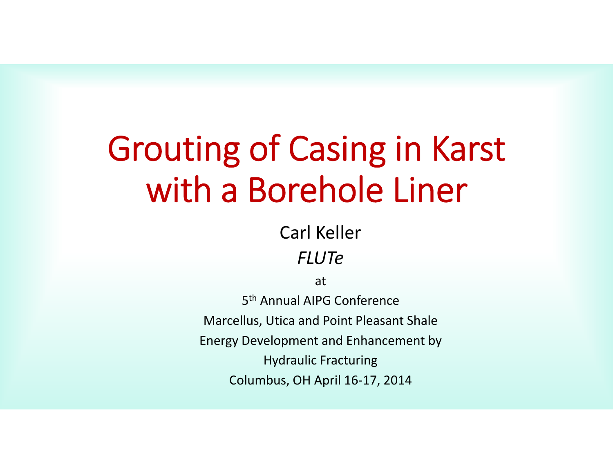# Grouting of Casing in Karst with <sup>a</sup> Borehole Liner

Carl Keller

*FLUTe*

at

5<sup>th</sup> Annual AIPG Conference Marcellus, Utica and Point Pleasant Shale Energy Development and Enhancement by Hydraulic Fracturing Columbus, OH April 16‐17, 2014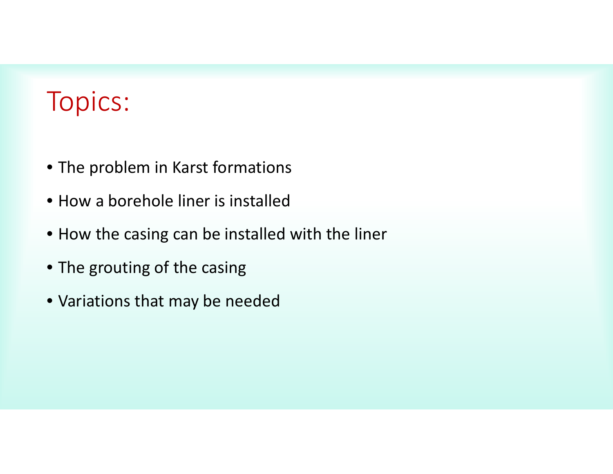# Topics:

- The problem in Karst formations
- How <sup>a</sup> borehole liner is installed
- How the casing can be installed with the liner
- The grouting of the casing
- Variations that may be needed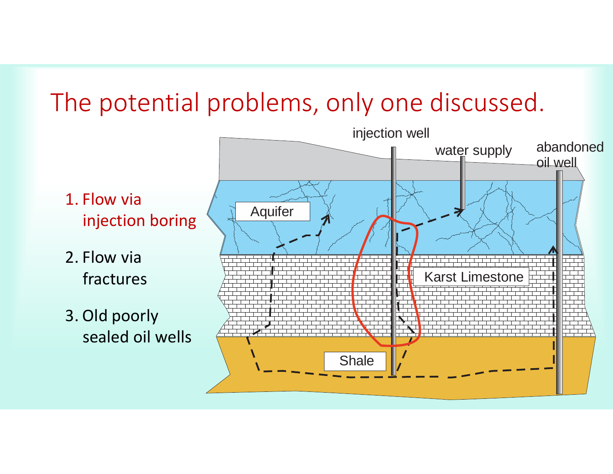## The potential problems, only one discussed.

1. Flow via injection boring

- 2. Flow via fractures
- 3. Old poorly sealed oil wells

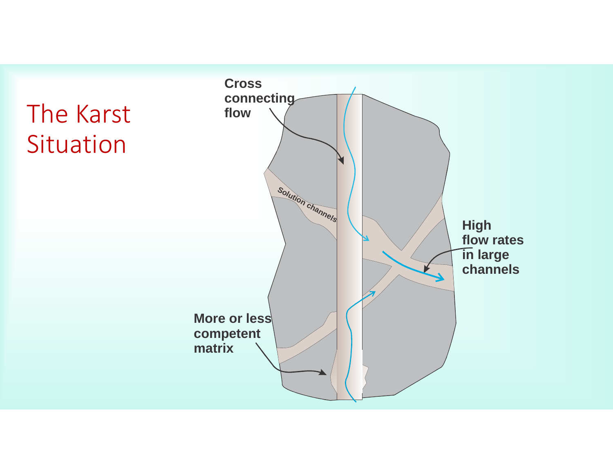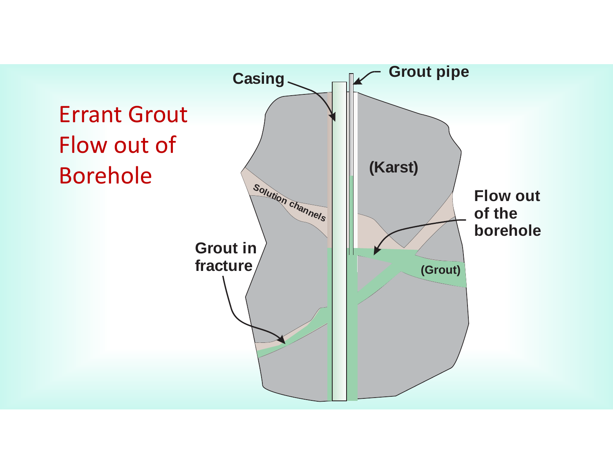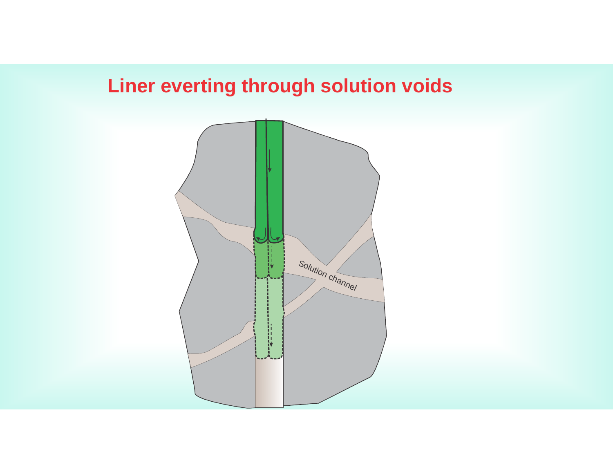#### **Liner everting through solution voids**

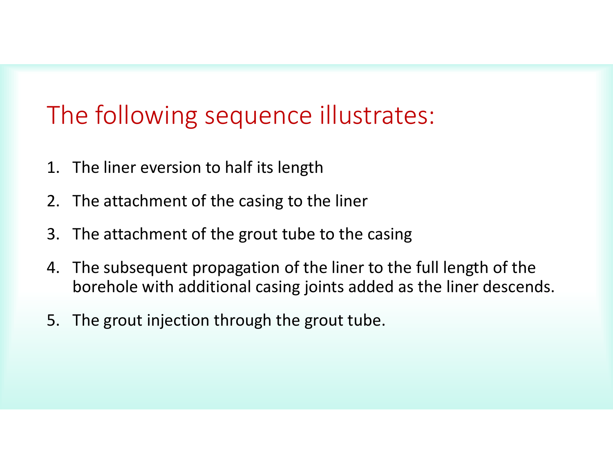# The following sequence illustrates:

- 1. The liner eversion to half its length
- 2. The attachment of the casing to the liner
- 3. The attachment of the grout tube to the casing
- 4. The subsequent propagation of the liner to the full length of the borehole with additional casing joints added as the liner descends.
- 5. The grout injection through the grout tube.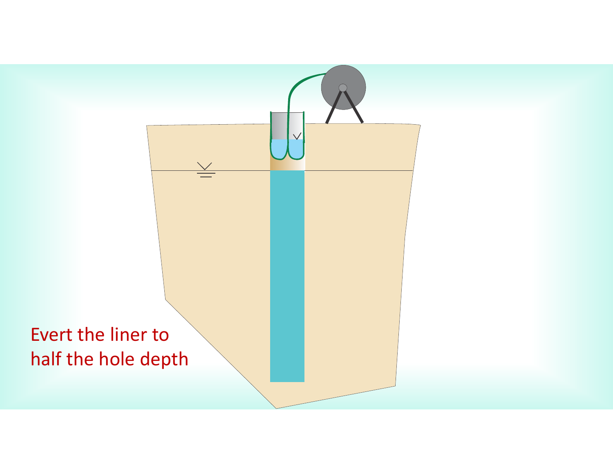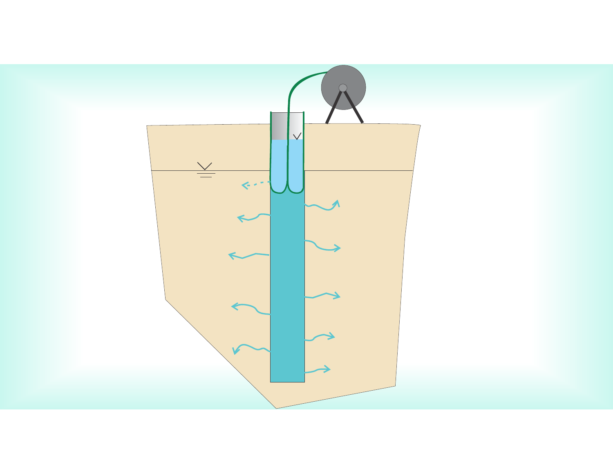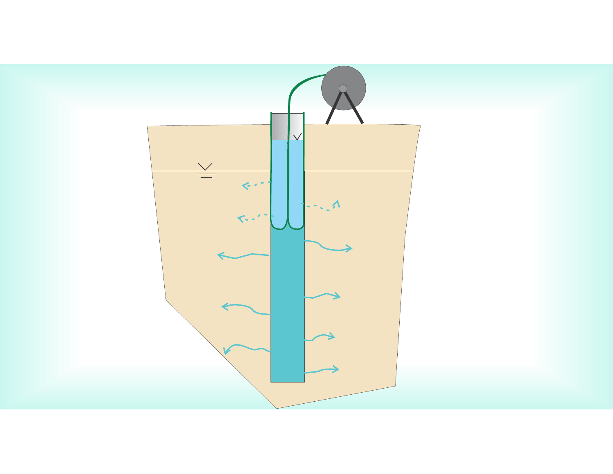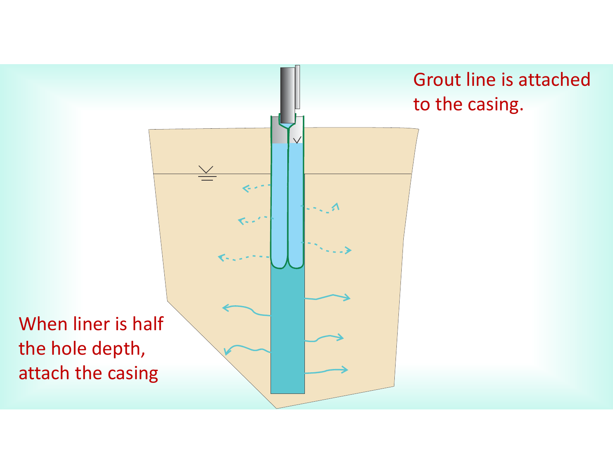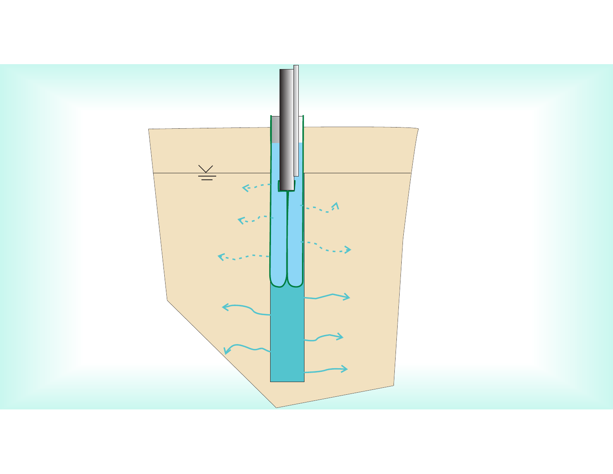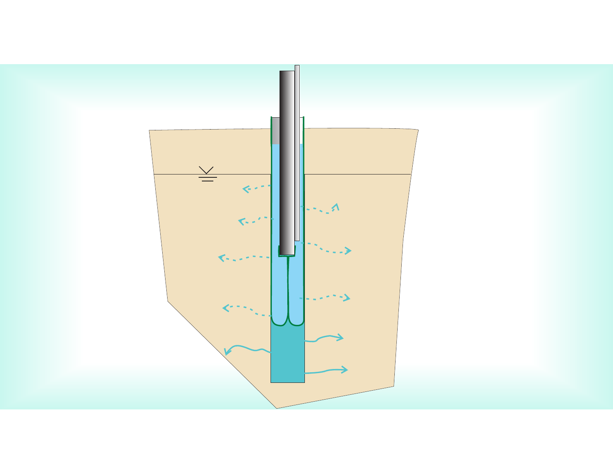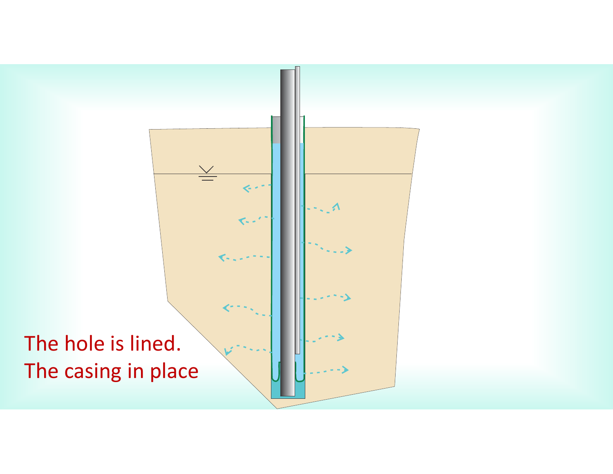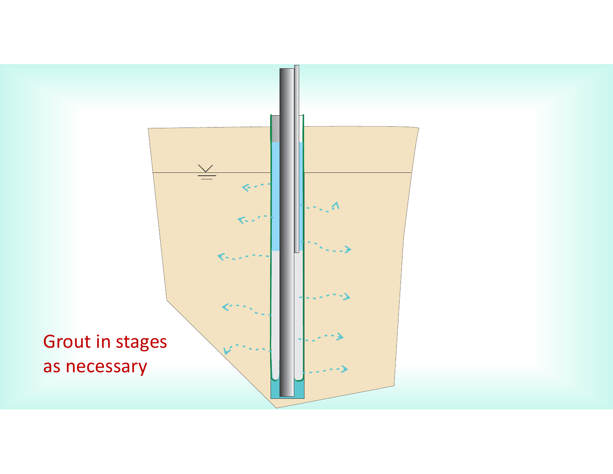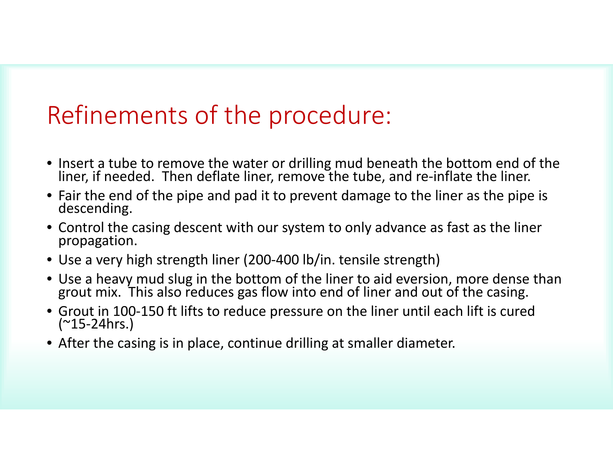# Refinements of the procedure:

- Insert a tube to remove the water or drilling mud beneath the bottom end of the<br>liner, if needed. Then deflate liner, remove the tube, and re-inflate the liner.
- Fair the end of the pipe and pad it to prevent damage to the liner as the pipe is descending.
- Control the casing descent with our system to only advance as fast as the liner propagation.
- Use <sup>a</sup> very high strength liner (200‐400 lb/in. tensile strength)
- Use <sup>a</sup> heavy mud slug in the bottom of the liner to aid eversion, more dense than grout mix. This also reduces gas flow into end of liner and out of the casing.
- Grout in 100-150 ft lifts to reduce pressure on the liner until each lift is cured<br>(~15-24hrs.)
- After the casing is in place, continue drilling at smaller diameter.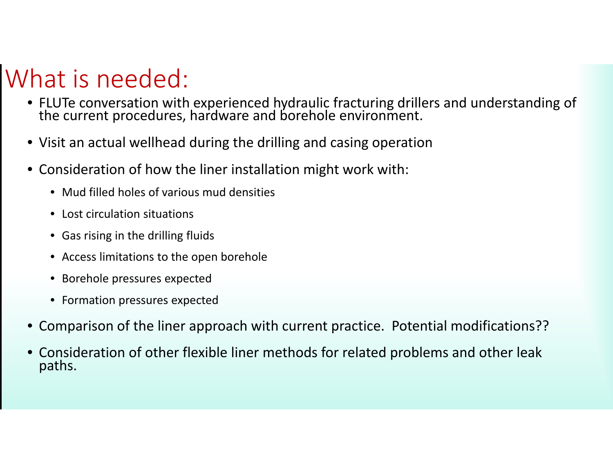# What is needed:

- FLUTe conversation with experienced hydraulic fracturing drillers and understanding of the current procedures, hardware and borehole environment.
- Visit an actual wellhead during the drilling and casing operation
- Consideration of how the liner installation might work with:
	- Mud filled holes of various mud densities
	- Lost circulation situations
	- Gas rising in the drilling fluids
	- Access limitations to the open borehole
	- Borehole pressures expected
	- Formation pressures expected
- Comparison of the liner approach with current practice. Potential modifications??
- •Consideration of other flexible liner methods for related problems and other leak paths.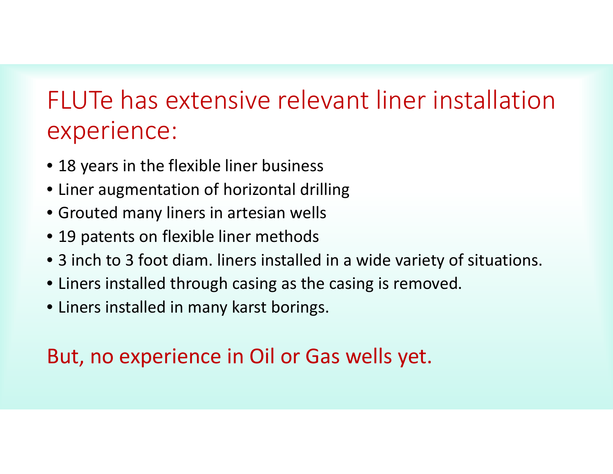# FLUTe has extensive relevant liner installationexperience:

- 18 years in the flexible liner business
- Liner augmentation of horizontal drilling
- Grouted many liners in artesian wells
- 19 patents on flexible liner methods
- 3 inch to 3 foot diam. liners installed in <sup>a</sup> wide variety of situations.
- Liners installed through casing as the casing is removed.
- Liners installed in many karst borings.

But, no experience in Oil or Gas wells yet.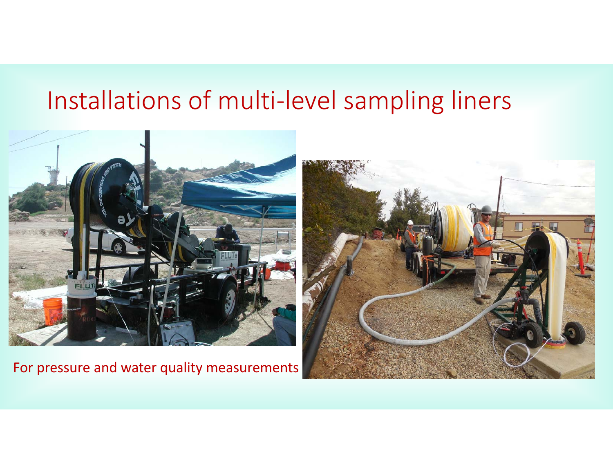#### Installations of multi‐level sampling liners



For pressure and water quality measurements

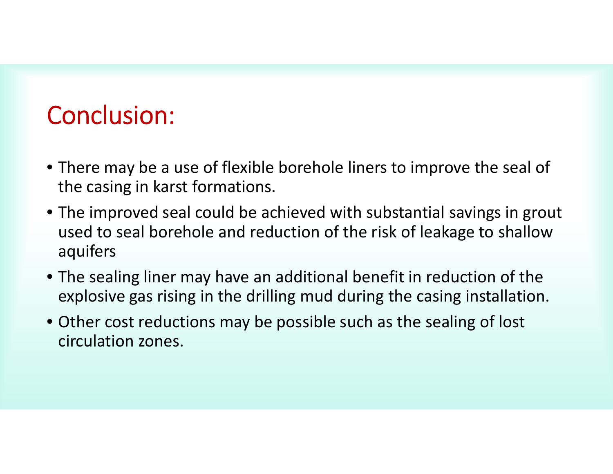# Conclusion:

- There may be <sup>a</sup> use of flexible borehole liners to improve the seal of the casing in karst formations.
- The improved seal could be achieved with substantial savings in grout used to seal borehole and reduction of the risk of leakage to shallow aquifers
- The sealing liner may have an additional benefit in reduction of the explosive gas rising in the drilling mud during the casing installation.
- Other cost reductions may be possible such as the sealing of lost circulation zones.